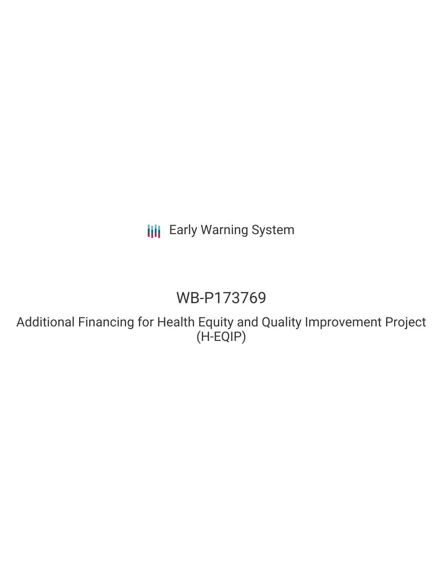**III** Early Warning System

# WB-P173769

Additional Financing for Health Equity and Quality Improvement Project (H-EQIP)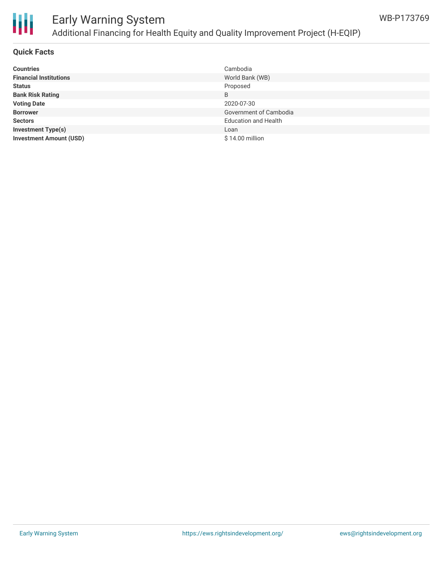

### Early Warning System Additional Financing for Health Equity and Quality Improvement Project (H-EQIP)

#### **Quick Facts**

| <b>Countries</b>               | Cambodia                    |
|--------------------------------|-----------------------------|
| <b>Financial Institutions</b>  | World Bank (WB)             |
| <b>Status</b>                  | Proposed                    |
| <b>Bank Risk Rating</b>        | B                           |
| <b>Voting Date</b>             | 2020-07-30                  |
| <b>Borrower</b>                | Government of Cambodia      |
| <b>Sectors</b>                 | <b>Education and Health</b> |
| <b>Investment Type(s)</b>      | Loan                        |
| <b>Investment Amount (USD)</b> | $$14.00$ million            |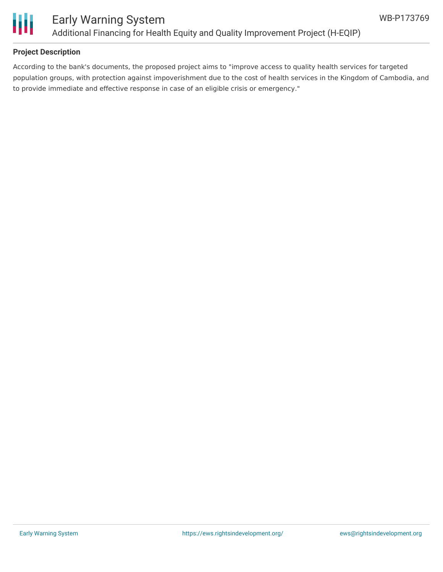

#### **Project Description**

According to the bank's documents, the proposed project aims to "improve access to quality health services for targeted population groups, with protection against impoverishment due to the cost of health services in the Kingdom of Cambodia, and to provide immediate and effective response in case of an eligible crisis or emergency."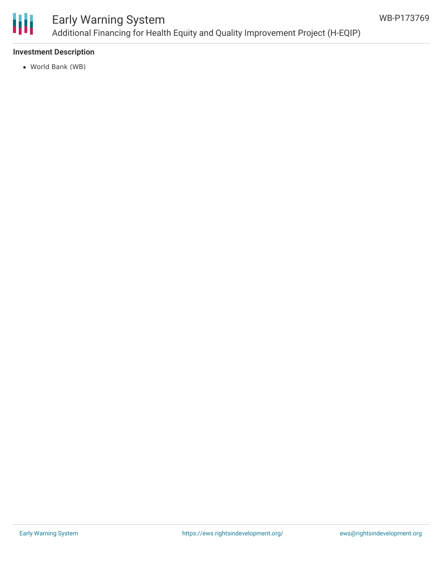

### Early Warning System Additional Financing for Health Equity and Quality Improvement Project (H-EQIP)

#### **Investment Description**

World Bank (WB)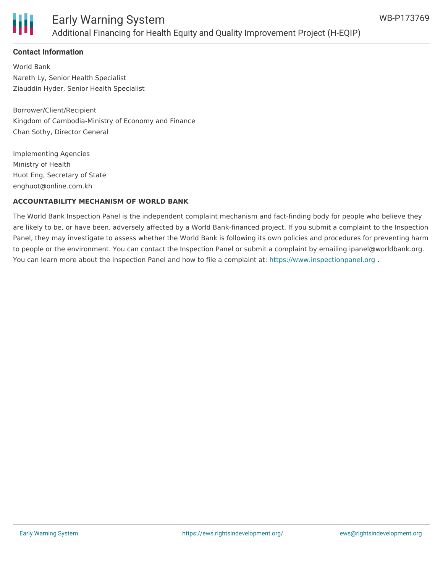

#### **Contact Information**

World Bank Nareth Ly, Senior Health Specialist Ziauddin Hyder, Senior Health Specialist

Borrower/Client/Recipient Kingdom of Cambodia-Ministry of Economy and Finance Chan Sothy, Director General

Implementing Agencies Ministry of Health Huot Eng, Secretary of State enghuot@online.com.kh

#### **ACCOUNTABILITY MECHANISM OF WORLD BANK**

The World Bank Inspection Panel is the independent complaint mechanism and fact-finding body for people who believe they are likely to be, or have been, adversely affected by a World Bank-financed project. If you submit a complaint to the Inspection Panel, they may investigate to assess whether the World Bank is following its own policies and procedures for preventing harm to people or the environment. You can contact the Inspection Panel or submit a complaint by emailing ipanel@worldbank.org. You can learn more about the Inspection Panel and how to file a complaint at: <https://www.inspectionpanel.org>.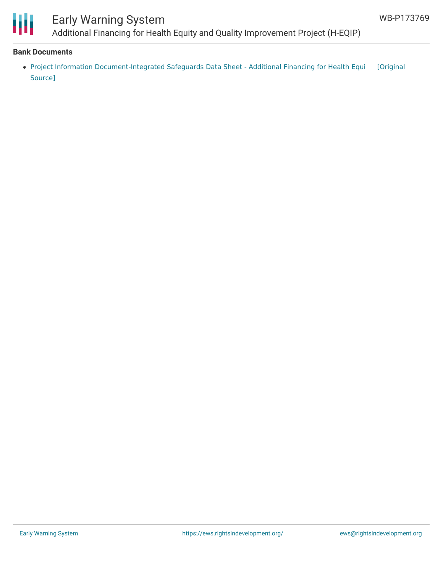

## Early Warning System

Additional Financing for Health Equity and Quality Improvement Project (H-EQIP)

#### **Bank Documents**

• Project Information [Document-Integrated](https://ewsdata.rightsindevelopment.org/files/documents/69/WB-P173769.pdf) Safeguards Data Sheet - Additional Financing for Health Equi [Original Source]